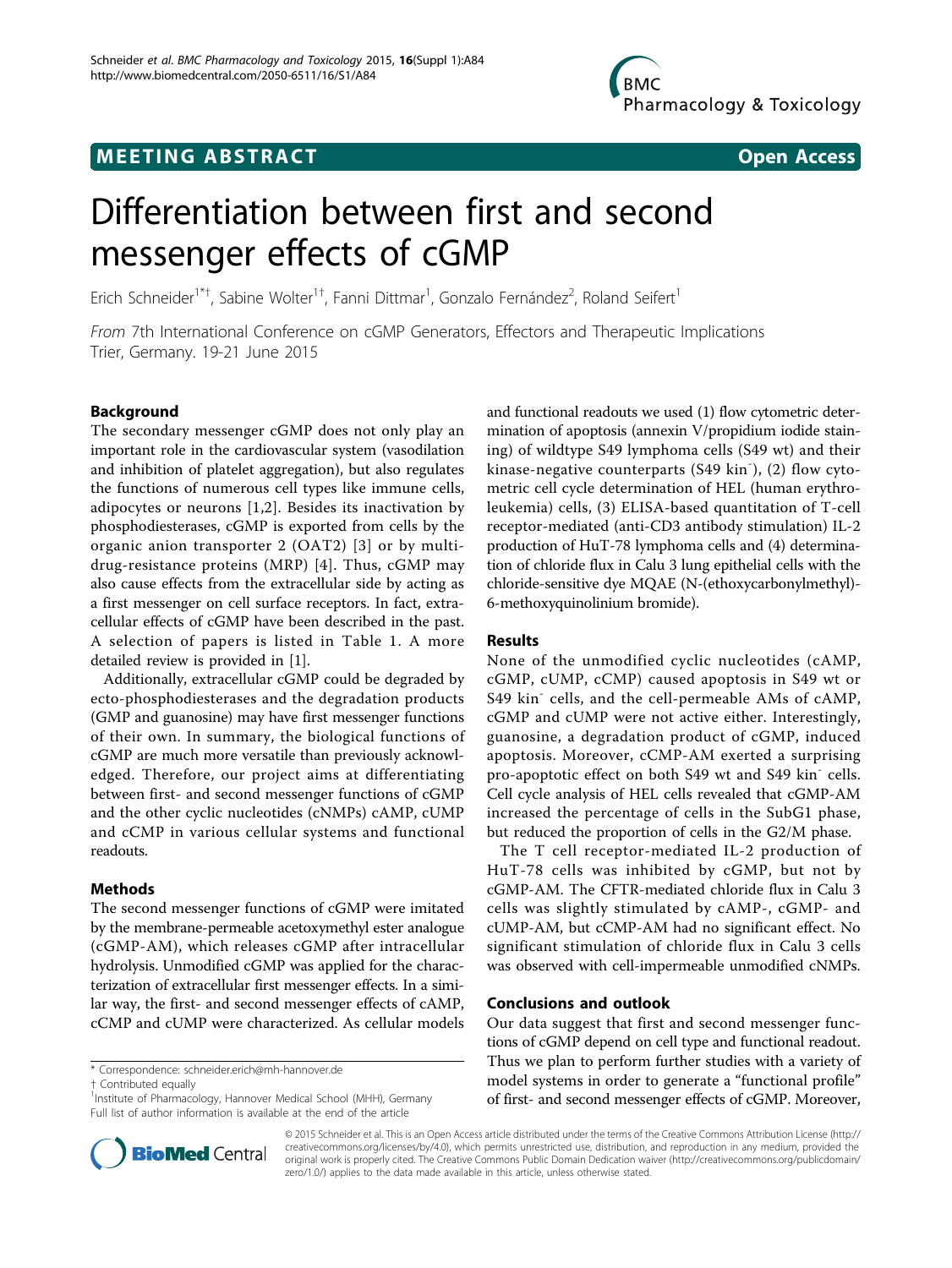# **MEETING ABSTRACT ACCESS**



# Differentiation between first and second messenger effects of cGMP

Erich Schneider<sup>1\*†</sup>, Sabine Wolter<sup>1†</sup>, Fanni Dittmar<sup>1</sup>, Gonzalo Fernández<sup>2</sup>, Roland Seifert<sup>1</sup>

From 7th International Conference on cGMP Generators, Effectors and Therapeutic Implications Trier, Germany. 19-21 June 2015

## Background

The secondary messenger cGMP does not only play an important role in the cardiovascular system (vasodilation and inhibition of platelet aggregation), but also regulates the functions of numerous cell types like immune cells, adipocytes or neurons [[1,2\]](#page-1-0). Besides its inactivation by phosphodiesterases, cGMP is exported from cells by the organic anion transporter 2 (OAT2) [[3\]](#page-1-0) or by multidrug-resistance proteins (MRP) [[4](#page-1-0)]. Thus, cGMP may also cause effects from the extracellular side by acting as a first messenger on cell surface receptors. In fact, extracellular effects of cGMP have been described in the past. A selection of papers is listed in Table [1.](#page-1-0) A more detailed review is provided in [\[1\]](#page-1-0).

Additionally, extracellular cGMP could be degraded by ecto-phosphodiesterases and the degradation products (GMP and guanosine) may have first messenger functions of their own. In summary, the biological functions of cGMP are much more versatile than previously acknowledged. Therefore, our project aims at differentiating between first- and second messenger functions of cGMP and the other cyclic nucleotides (cNMPs) cAMP, cUMP and cCMP in various cellular systems and functional readouts.

# Methods

The second messenger functions of cGMP were imitated by the membrane-permeable acetoxymethyl ester analogue (cGMP-AM), which releases cGMP after intracellular hydrolysis. Unmodified cGMP was applied for the characterization of extracellular first messenger effects. In a similar way, the first- and second messenger effects of cAMP, cCMP and cUMP were characterized. As cellular models

\* Correspondence: [schneider.erich@mh-hannover.de](mailto:schneider.erich@mh-hannover.de)

† Contributed equally <sup>1</sup>

<sup>1</sup> Institute of Pharmacology, Hannover Medical School (MHH), Germany Full list of author information is available at the end of the article



#### Results

None of the unmodified cyclic nucleotides (cAMP, cGMP, cUMP, cCMP) caused apoptosis in S49 wt or S49 kin<sup>-</sup> cells, and the cell-permeable AMs of cAMP, cGMP and cUMP were not active either. Interestingly, guanosine, a degradation product of cGMP, induced apoptosis. Moreover, cCMP-AM exerted a surprising pro-apoptotic effect on both S49 wt and S49 kin<sup>-</sup> cells. Cell cycle analysis of HEL cells revealed that cGMP-AM increased the percentage of cells in the SubG1 phase, but reduced the proportion of cells in the G2/M phase.

The T cell receptor-mediated IL-2 production of HuT-78 cells was inhibited by cGMP, but not by cGMP-AM. The CFTR-mediated chloride flux in Calu 3 cells was slightly stimulated by cAMP-, cGMP- and cUMP-AM, but cCMP-AM had no significant effect. No significant stimulation of chloride flux in Calu 3 cells was observed with cell-impermeable unmodified cNMPs.

### Conclusions and outlook

Our data suggest that first and second messenger functions of cGMP depend on cell type and functional readout. Thus we plan to perform further studies with a variety of model systems in order to generate a "functional profile" of first- and second messenger effects of cGMP. Moreover,



© 2015 Schneider et al. This is an Open Access article distributed under the terms of the Creative Commons Attribution License [\(http://](http://creativecommons.org/licenses/by/4.0) [creativecommons.org/licenses/by/4.0](http://creativecommons.org/licenses/by/4.0)), which permits unrestricted use, distribution, and reproduction in any medium, provided the original work is properly cited. The Creative Commons Public Domain Dedication waiver ([http://creativecommons.org/publicdomain/](http://creativecommons.org/publicdomain/zero/1.0/) [zero/1.0/](http://creativecommons.org/publicdomain/zero/1.0/)) applies to the data made available in this article, unless otherwise stated.